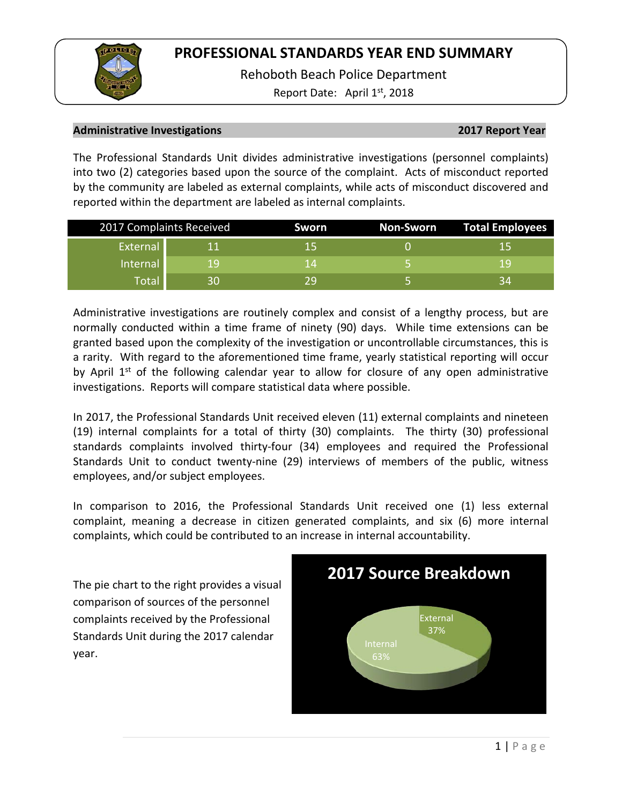Rehoboth Beach Police Department

Report Date: April  $1<sup>st</sup>$ , 2018

## **Administrative Investigations 2017 Report Year**

The Professional Standards Unit divides administrative investigations (personnel complaints) into two (2) categories based upon the source of the complaint. Acts of misconduct reported by the community are labeled as external complaints, while acts of misconduct discovered and reported within the department are labeled as internal complaints.

| 2017 Complaints Received |    | <b>Sworn</b> | Non-Sworn | Total Employees |  |
|--------------------------|----|--------------|-----------|-----------------|--|
| External                 |    | ל 1          |           | 15              |  |
| Internal                 | 19 | 1 Z          |           | 1 Q             |  |
| Total                    | 30 | 7U           |           | 34              |  |

Administrative investigations are routinely complex and consist of a lengthy process, but are normally conducted within a time frame of ninety (90) days. While time extensions can be granted based upon the complexity of the investigation or uncontrollable circumstances, this is a rarity. With regard to the aforementioned time frame, yearly statistical reporting will occur by April  $1<sup>st</sup>$  of the following calendar year to allow for closure of any open administrative investigations. Reports will compare statistical data where possible.

In 2017, the Professional Standards Unit received eleven (11) external complaints and nineteen (19) internal complaints for a total of thirty (30) complaints. The thirty (30) professional standards complaints involved thirty-four (34) employees and required the Professional Standards Unit to conduct twenty-nine (29) interviews of members of the public, witness employees, and/or subject employees.

In comparison to 2016, the Professional Standards Unit received one (1) less external complaint, meaning a decrease in citizen generated complaints, and six (6) more internal complaints, which could be contributed to an increase in internal accountability.

The pie chart to the right provides a visual comparison of sources of the personnel complaints received by the Professional Standards Unit during the 2017 calendar year.

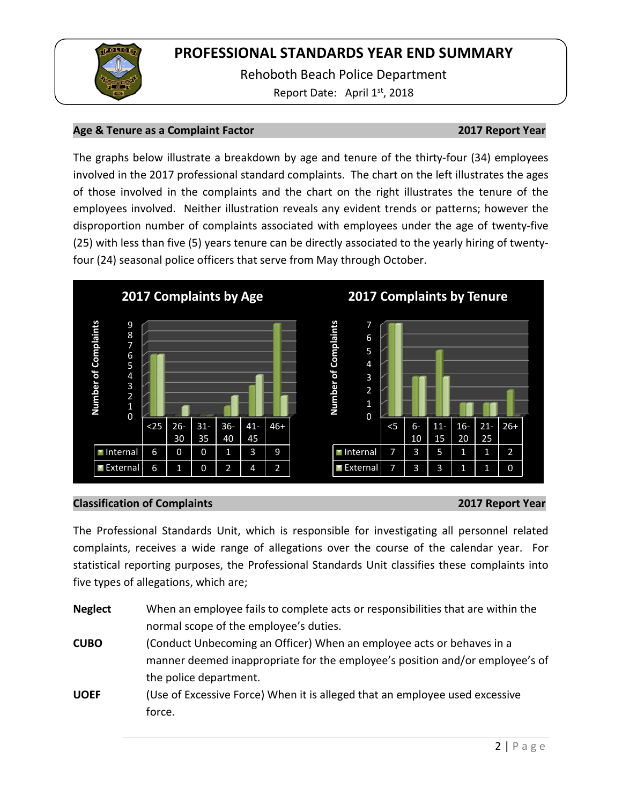

Rehoboth Beach Police Department Report Date: April 1<sup>st</sup>, 2018

## **Age & Tenure as a Complaint Factor 2017 Report Year**

The graphs below illustrate a breakdown by age and tenure of the thirty-four (34) employees involved in the 2017 professional standard complaints. The chart on the left illustrates the ages of those involved in the complaints and the chart on the right illustrates the tenure of the employees involved. Neither illustration reveals any evident trends or patterns; however the disproportion number of complaints associated with employees under the age of twenty-five (25) with less than five (5) years tenure can be directly associated to the yearly hiring of twentyfour (24) seasonal police officers that serve from May through October.



### **Classification of Complaints 2017 Report Year**

The Professional Standards Unit, which is responsible for investigating all personnel related complaints, receives a wide range of allegations over the course of the calendar year. For statistical reporting purposes, the Professional Standards Unit classifies these complaints into five types of allegations, which are;

| <b>Neglect</b> | When an employee fails to complete acts or responsibilities that are within the |
|----------------|---------------------------------------------------------------------------------|
|                | normal scope of the employee's duties.                                          |
| <b>CUBO</b>    | (Conduct Unbecoming an Officer) When an employee acts or behaves in a           |
|                | manner deemed inappropriate for the employee's position and/or employee's of    |
|                | the police department.                                                          |
| <b>UOEF</b>    | (Use of Excessive Force) When it is alleged that an employee used excessive     |
|                | force.                                                                          |
|                |                                                                                 |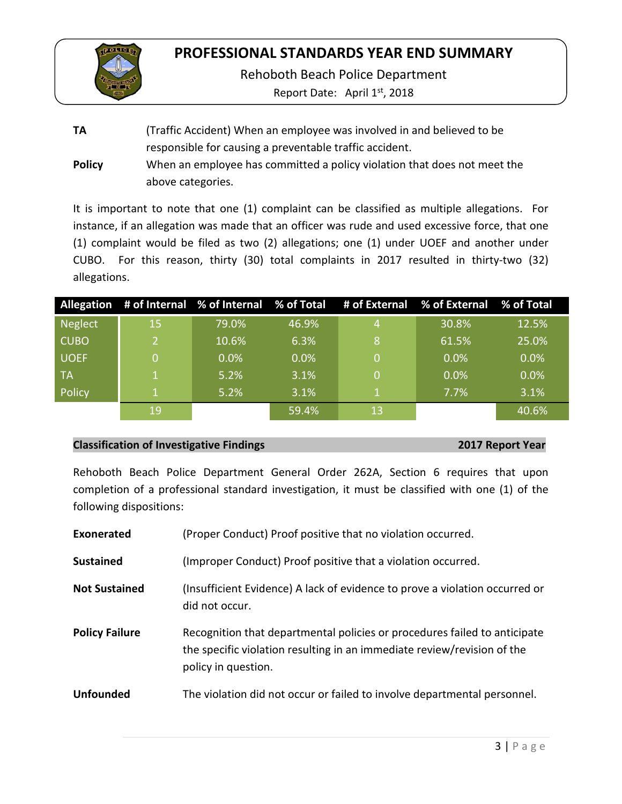

Rehoboth Beach Police Department

Report Date: April 1<sup>st</sup>, 2018

**TA** (Traffic Accident) When an employee was involved in and believed to be responsible for causing a preventable traffic accident. **Policy** When an employee has committed a policy violation that does not meet the above categories.

It is important to note that one (1) complaint can be classified as multiple allegations. For instance, if an allegation was made that an officer was rude and used excessive force, that one (1) complaint would be filed as two (2) allegations; one (1) under UOEF and another under CUBO. For this reason, thirty (30) total complaints in 2017 resulted in thirty-two (32) allegations.

|             |    |         |       |    | Allegation # of Internal % of Internal % of Total # of External % of External % of Total |       |
|-------------|----|---------|-------|----|------------------------------------------------------------------------------------------|-------|
| Neglect     | 15 | 79.0%   | 46.9% |    | 30.8%                                                                                    | 12.5% |
| <b>CUBO</b> | 2  | 10.6%   | 6.3%  | 8  | 61.5%                                                                                    | 25.0% |
| <b>UOEF</b> | 0  | $0.0\%$ | 0.0%  |    | 0.0%                                                                                     | 0.0%  |
| - TA        |    | 5.2%    | 3.1%  |    | 0.0%                                                                                     | 0.0%  |
| Policy      |    | 5.2%    | 3.1%  |    | 7.7%                                                                                     | 3.1%  |
|             | 19 |         | 59.4% | 13 |                                                                                          | 40.6% |

## **Classification of Investigative Findings 2017 Report Year**

Rehoboth Beach Police Department General Order 262A, Section 6 requires that upon completion of a professional standard investigation, it must be classified with one (1) of the following dispositions:

| Exonerated            | (Proper Conduct) Proof positive that no violation occurred.                                                                                                                 |
|-----------------------|-----------------------------------------------------------------------------------------------------------------------------------------------------------------------------|
| <b>Sustained</b>      | (Improper Conduct) Proof positive that a violation occurred.                                                                                                                |
| <b>Not Sustained</b>  | (Insufficient Evidence) A lack of evidence to prove a violation occurred or<br>did not occur.                                                                               |
| <b>Policy Failure</b> | Recognition that departmental policies or procedures failed to anticipate<br>the specific violation resulting in an immediate review/revision of the<br>policy in question. |
| <b>Unfounded</b>      | The violation did not occur or failed to involve departmental personnel.                                                                                                    |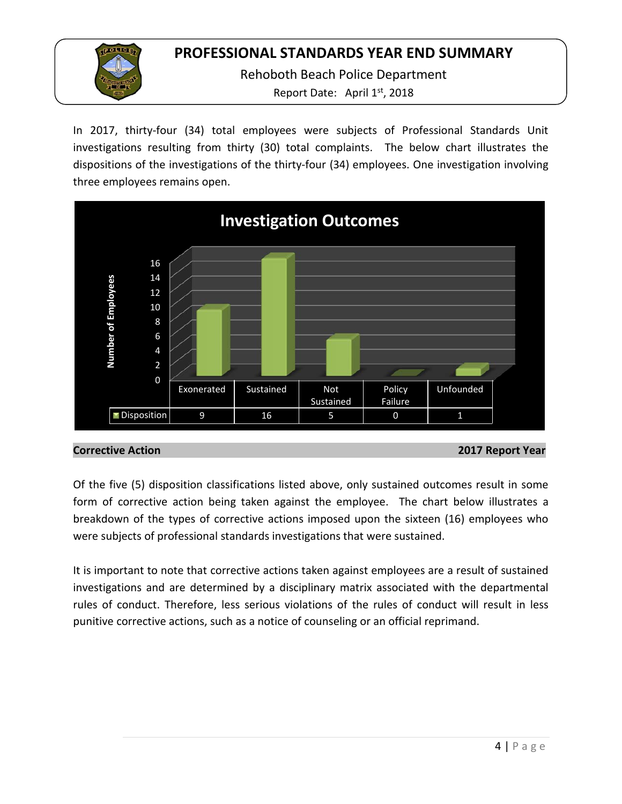Rehoboth Beach Police Department Report Date: April 1<sup>st</sup>, 2018

In 2017, thirty-four (34) total employees were subjects of Professional Standards Unit investigations resulting from thirty (30) total complaints. The below chart illustrates the dispositions of the investigations of the thirty-four (34) employees. One investigation involving three employees remains open.



**Corrective Action 2017 Report Year**

Of the five (5) disposition classifications listed above, only sustained outcomes result in some form of corrective action being taken against the employee. The chart below illustrates a breakdown of the types of corrective actions imposed upon the sixteen (16) employees who were subjects of professional standards investigations that were sustained.

It is important to note that corrective actions taken against employees are a result of sustained investigations and are determined by a disciplinary matrix associated with the departmental rules of conduct. Therefore, less serious violations of the rules of conduct will result in less punitive corrective actions, such as a notice of counseling or an official reprimand.